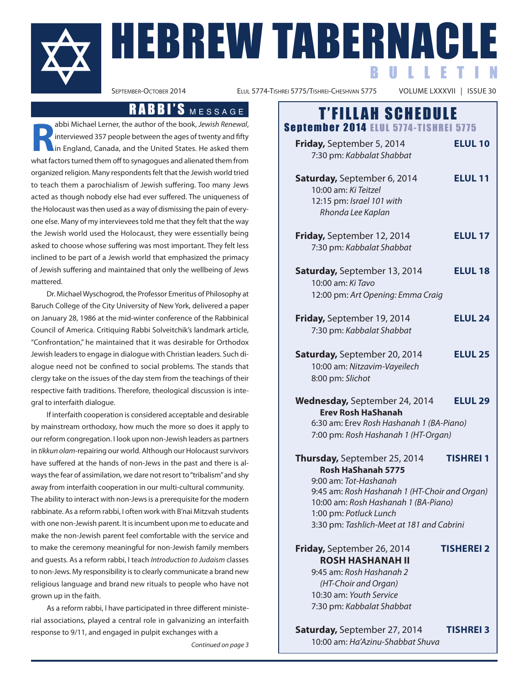

ELUL 5774-TISHREI 5775/TISHREI-CHESHVAN 5775

B U L L E T I N

**R** abbi Michael Lerner, the author of the book, Jewish Renewal, interviewed 357 people between the ages of twenty and fifty in England, Canada, and the United States. He asked them what factors turned them off to synagogues and alienated them from organized religion. many respondentsfelt that the Jewish world tried to teach them a parochialism of Jewish suffering. Too many Jews acted as though nobody else had ever suffered. The uniqueness of the Holocaust was then used as a way of dismissing the pain of everyone else. Many of my intervievees told me that they felt that the way the Jewish world used the holocaust, they were essentially being asked to choose whose suffering was most important. They felt less inclined to be part of a Jewish world that emphasized the primacy of Jewish suffering and maintained that only the wellbeing of Jews mattered.

Dr. michaelWyschogrod, the professor Emeritus of philosophy at Baruch College of the City University of New York, delivered a paper on January 28, 1986 at the mid-winter conference of the Rabbinical Council of America. Critiquing Rabbi Solveitchik's landmark article, "confrontation," he maintained that it was desirable for Orthodox Jewish leaders to engage in dialogue with Christian leaders. Such dialogue need not be confined to social problems. The stands that clergy take on the issues of the day stem from the teachings of their respective faith traditions. Therefore, theological discussion is integral to interfaith dialogue.

if interfaith cooperation is considered acceptable and desirable by mainstream orthodoxy, how much the more so does it apply to our reform congregation. i look upon non-Jewish leaders as partners in tikkun olam-repairing our world. Although our Holocaust survivors have suffered at the hands of non-Jews in the past and there is always the fear of assimilation, we dare not resort to "tribalism" and shy away from interfaith cooperation in our multi-cultural community. The ability to interact with non-Jews is a prerequisite for the modern rabbinate. As a reform rabbi, I often work with B'nai Mitzvah students with one non-Jewish parent. It is incumbent upon me to educate and make the non-Jewish parent feel comfortable with the service and to make the ceremony meaningful for non-Jewish family members and guests. As a reform rabbi, I teach Introduction to Judaism classes to non-Jews. My responsibility is to clearly communicate a brand new religious language and brand new rituals to people who have not grown up in the faith.

As a reform rabbi, I have participated in three different ministerial associations, played a central role in galvanizing an interfaith response to 9/11, and engaged in pulpit exchanges with a

Continued on page 3

# RABBI'S MESSAGE | T'FILLAH SCHEDULE

September 2014 ELUL 5774-TISHREI 5775 **Friday,** September 5, 2014 **ELUL 10** 7:30 pm: Kabbalat Shabbat **Saturday,** September 6, 2014 **ELUL 11** 10:00 am: Ki Teitzel 12:15 pm: Israel 101 with Rhonda Lee Kaplan **Friday,** September 12, 2014 **ELUL 17** 7:30 pm: Kabbalat Shabbat **Saturday,** September 13, 2014 **Elul 18** 10:00 am: Ki Tavo 12:00 pm: Art Opening: Emma Craig **Friday,** September 19, 2014 **Elul 24** 7:30 pm: Kabbalat Shabbat **Saturday,** September 20, 2014 **Elul 25** 10:00 am: Nitzavim-Vayeilech 8:00 pm: Slichot **Wednesday,** September 24, 2014 **Elul 29 Erev Rosh HaShanah** 6:30 am: Erev Rosh Hashanah 1 (BA-Piano) 7:00 pm: Rosh Hashanah 1 (HT-Organ) **Thursday,** September 25, 2014 **TiSHREi 1 Rosh HaShanah 5775** 9:00 am: Tot-Hashanah 9:45 am: Rosh Hashanah 1 (HT-Choir and Organ) 10:00 am: Rosh Hashanah 1 (BA-Piano) 1:00 pm: Potluck Lunch 3:30 pm: Tashlich-Meet at 181 and Cabrini **Friday,** September 26, 2014 **TiSHEREi 2 RoSH HaSHanaH ii** 9:45 am: Rosh Hashanah 2 (HT-Choir and Organ) 10:30 am: Youth Service

**Saturday,** September 27, 2014 **TiSHREi 3** 10:00 am: Ha'Azinu-Shabbat Shuva

7:30 pm: Kabbalat Shabbat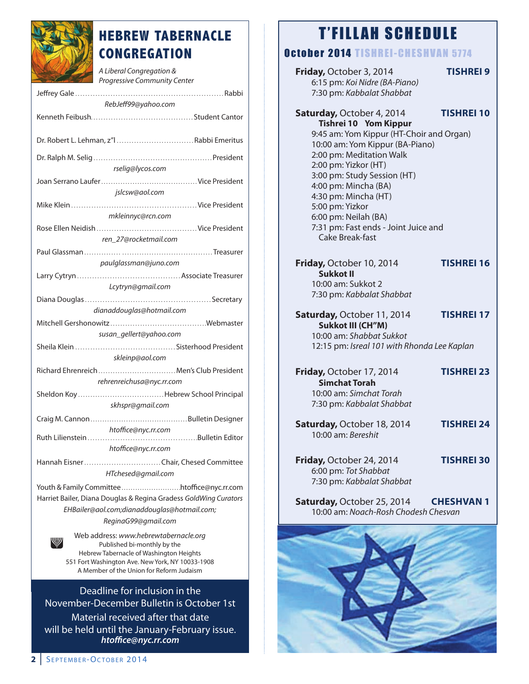

# **HEBREW TABERNACLE CONGREGATION**

A Liberal Congregation & Progressive Community Center Jeffrey Gale . . . . . . . . . . . . . . . . . . . . . . . . . . . . . . . . . . . . . . . . . . . . . . . . . . . . . . . . . . . rabbi RebJeff99@yahoo.com Kenneth Feibush. . . . . . . . . . . . . . . . . . . . . . . . . . . . . . . . . . . . . . . . . Student cantor Dr. robert l. lehman, z"l . . . . . . . . . . . . . . . . . . . . . . . . . . . . . . . rabbi Emeritus Dr. ralph m. Selig . . . . . . . . . . . . . . . . . . . . . . . . . . . . . . . . . . . . . . . . . . . . . . . . president rselig@lycos.com Joan Serrano laufer. . . . . . . . . . . . . . . . . . . . . . . . . . . . . . . . . . . . . . . . vice president jslcsw@aol.com mike Klein . . . . . . . . . . . . . . . . . . . . . . . . . . . . . . . . . . . . . . . . . . . . . . . . . . vice president mkleinnyc@rcn.com rose Ellen neidish . . . . . . . . . . . . . . . . . . . . . . . . . . . . . . . . . . . . . . . . vice president ren\_27@rocketmail.com paul Glassman . . . . . . . . . . . . . . . . . . . . . . . . . . . . . . . . . . . . . . . . . . . . . . . . . . . . treasurer paulglassman@juno.com larry cytryn . . . . . . . . . . . . . . . . . . . . . . . . . . . . . . . . . . . . . . . . . associate treasurer Lcytryn@gmail.com Diana Douglas. . . . . . . . . . . . . . . . . . . . . . . . . . . . . . . . . . . . . . . . . . . . . . . . . . Secretary dianaddouglas@hotmail.com mitchell Gershonowitz . . . . . . . . . . . . . . . . . . . . . . . . . . . . . . . . . . . . . . .Webmaster susan\_gellert@yahoo.com Sheila Klein . . . . . . . . . . . . . . . . . . . . . . . . . . . . . . . . . . . . . . . . Sisterhood president skleinp@aol.com richard Ehrenreich . . . . . . . . . . . . . . . . . . . . . . . . . . . . . . . . men's club president rehrenreichusa@nyc.rr.com Sheldon Koy . . . . . . . . . . . . . . . . . . . . . . . . . . . . . . . . . . .hebrew School principal skhspr@gmail.com craig m. cannon . . . . . . . . . . . . . . . . . . . . . . . . . . . . . . . . . . . . . . . . . bulletin Designer htoffice@nyc.rr.com ruth lilienstein . . . . . . . . . . . . . . . . . . . . . . . . . . . . . . . . . . . . . . . . . . . .bulletin Editor htoffice@nyc.rr.com hannah Eisner. . . . . . . . . . . . . . . . . . . . . . . . . . . . . . . chair, chesed committee HTchesed@gmail.com Youth & Family committee . . . . . . . . . . . . . . . . . . . . . . . . . .htoffice@nyc.rr.com Harriet Bailer, Diana Douglas & Regina Gradess GoldWing Curators EHBailer@aol.com;dianaddouglas@hotmail.com; ReginaG99@gmail.com Web address: www.hebrewtabernacle.org published bi-monthly by the

hebrew tabernacle of Washington heights 551 Fort Washington Ave. New York, NY 10033-1908 A Member of the Union for Reform Judaism

Deadline for inclusion in the november-December bulletin is October 1st material received after that date will be held until the January-February issue. *htoffice@nyc.rr.com*

# T'FILLAH SCHEDULE

# October 2014 TISHREI-CHESHVAN 5774

| Friday, October 3, 2014<br>6:15 pm: Koi Nidre (BA-Piano)<br>7:30 pm: Kabbalat Shabbat                                                                                                                                                                                                                                                                                      | <b>TISHREI 9</b>  |
|----------------------------------------------------------------------------------------------------------------------------------------------------------------------------------------------------------------------------------------------------------------------------------------------------------------------------------------------------------------------------|-------------------|
| Saturday, October 4, 2014<br>Tishrei 10 Yom Kippur<br>9:45 am: Yom Kippur (HT-Choir and Organ)<br>10:00 am: Yom Kippur (BA-Piano)<br>2:00 pm: Meditation Walk<br>2:00 pm: Yizkor (HT)<br>3:00 pm: Study Session (HT)<br>4:00 pm: Mincha (BA)<br>4:30 pm: Mincha (HT)<br>5:00 pm: Yizkor<br>6:00 pm: Neilah (BA)<br>7:31 pm: Fast ends - Joint Juice and<br>Cake Break-fast | <b>TISHREI 10</b> |
| Friday, October 10, 2014<br><b>Sukkot II</b><br>10:00 am: Sukkot 2<br>7:30 pm: Kabbalat Shabbat                                                                                                                                                                                                                                                                            | <b>TISHREI 16</b> |
| Saturday, October 11, 2014<br><b>Sukkot III (CH"M)</b><br>10:00 am: Shabbat Sukkot<br>12:15 pm: Isreal 101 with Rhonda Lee Kaplan                                                                                                                                                                                                                                          | <b>TISHREI 17</b> |
| Friday, October 17, 2014<br><b>Simchat Torah</b><br>10:00 am: Simchat Torah<br>7:30 pm: Kabbalat Shabbat                                                                                                                                                                                                                                                                   | <b>TISHREI 23</b> |
| Saturday, October 18, 2014<br>10:00 am: Bereshit                                                                                                                                                                                                                                                                                                                           | <b>TISHREI 24</b> |
| Friday, October 24, 2014<br>6:00 pm: Tot Shabbat<br>7:30 pm: Kabbalat Shabbat                                                                                                                                                                                                                                                                                              | <b>TISHREI 30</b> |
| Saturday, October 25, 2014<br>10:00 am: Noach-Rosh Chodesh Chesvan                                                                                                                                                                                                                                                                                                         | <b>CHESHVAN1</b>  |
|                                                                                                                                                                                                                                                                                                                                                                            |                   |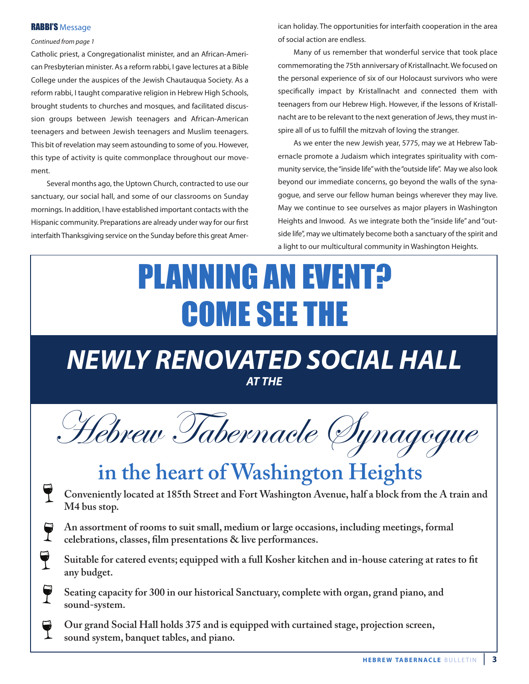### **RABBI'S Message**

### Continued from page 1

Catholic priest, a Congregationalist minister, and an African-American Presbyterian minister. As a reform rabbi, I gave lectures at a Bible College under the auspices of the Jewish Chautauqua Society. As a reform rabbi, I taught comparative religion in Hebrew High Schools, brought students to churches and mosques, and facilitated discussion groups between Jewish teenagers and African-American teenagers and between Jewish teenagers and muslim teenagers. This bit of revelation may seem astounding to some of you. However, this type of activity is quite commonplace throughout our movement.

Several months ago, the Uptown Church, contracted to use our sanctuary, our social hall, and some of our classrooms on Sunday mornings. in addition, i have established important contacts with the hispanic community. preparations are already under way for our first interfaith Thanksgiving service on the Sunday before this great American holiday. The opportunities for interfaith cooperation in the area of social action are endless.

many of us remember that wonderful service that took place commemorating the 75th anniversary of Kristallnacht.We focused on the personal experience of six of our holocaust survivors who were specifically impact by Kristallnacht and connected them with teenagers from our Hebrew High. However, if the lessons of Kristallnacht are to be relevant to the next generation of Jews, they must inspire all of us to fulfill the mitzvah of loving the stranger.

As we enter the new Jewish year, 5775, may we at Hebrew Tabernacle promote a Judaism which integrates spirituality with community service, the"inside life"with the"outside life". may we also look beyond our immediate concerns, go beyond the walls of the synagogue, and serve our fellow human beings wherever they may live. may we continue to see ourselves as major players in Washington Heights and Inwood. As we integrate both the "inside life" and "outside life", may we ultimately become both a sanctuary of the spirit and a light to our multicultural community in Washington heights.

# PLANNING AN EVENT<del>?</del> COME SEE THE

# *NEWLY RENOVATED SOCIAL HALL AT THE*

Hebrew Tabernacle Synagogue

# **in the heart of Washington Heights**

- **Conveniently located at 185th Street and Fort Washington Avenue, half a block from the A train and M4 bus stop.**
- **An assortment of rooms to suit small, medium or large occasions, including meetings, formal celebrations, classes, film presentations & live performances.**
- $\mathbf 7$ **Suitable for catered events; equipped with a full Kosher kitchen and in-house catering at rates to fit any budget.**
- **Seating capacity for 300 in our historical Sanctuary, complete with organ, grand piano, and sound-system.**
- **Our grand Social Hall holds 375 and is equipped with curtained stage, projection screen, sound system, banquet tables, and piano.**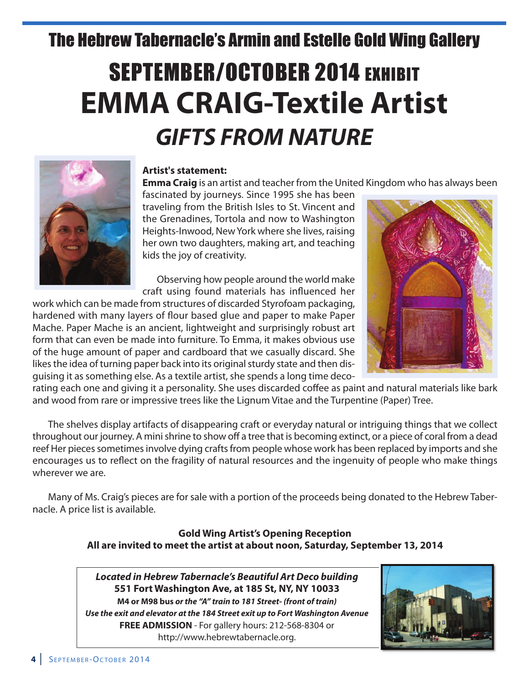# The Hebrew Tabernacle's Armin and Estelle Gold Wing Gallery

# SEPTEMBER/OCTOBER 2014 EXHIBIT **EMMa CRaiG-Textile artist** *GIFTS FROM NATURE*



## **artist's statement:**

**Emma Craig** is an artist and teacher from the United Kingdom who has always been

fascinated by journeys. Since 1995 she has been traveling from the british isles to St. vincent and the Grenadines, Tortola and now to Washington heights-inwood, newYork where she lives, raising her own two daughters, making art, and teaching kids the joy of creativity.

Observing how people around the world make craft using found materials has influenced her

work which can be made from structures of discarded Styrofoam packaging, hardened with many layers of flour based glue and paper to make Paper Mache. Paper Mache is an ancient, lightweight and surprisingly robust art form that can even be made into furniture. To Emma, it makes obvious use of the huge amount of paper and cardboard that we casually discard. She likes the idea of turning paper back into its original sturdy state and then disguising it as something else. As a textile artist, she spends a long time deco-



rating each one and giving it a personality. She uses discarded coffee as paint and natural materials like bark and wood from rare or impressive trees like the Lignum Vitae and the Turpentine (Paper) Tree.

the shelves display artifacts of disappearing craft or everyday natural or intriguing things that we collect throughout our journey. A mini shrine to show off a tree that is becoming extinct, or a piece of coral from a dead reef Her pieces sometimes involve dying crafts from people whose work has been replaced by imports and she encourages us to reflect on the fragility of natural resources and the ingenuity of people who make things wherever we are.

Many of Ms. Craig's pieces are for sale with a portion of the proceeds being donated to the Hebrew Tabernacle. A price list is available.

## **Gold Wing artist's opening Reception all are invited to meet the artist at about noon, Saturday, September 13, 2014**

*Located in Hebrew Tabernacle's Beautiful Art Deco building* **551 Fort Washington ave, at 185 St, nY, nY 10033 M4 or M98 bus** *orthe "A" train to 181 Street- (front of train) Use the exit and elevator at the 184 Street exit up to Fort Washington Avenue* **FREE aDMiSSion** - For gallery hours: 212-568-8304 or http://www.hebrewtabernacle.org.

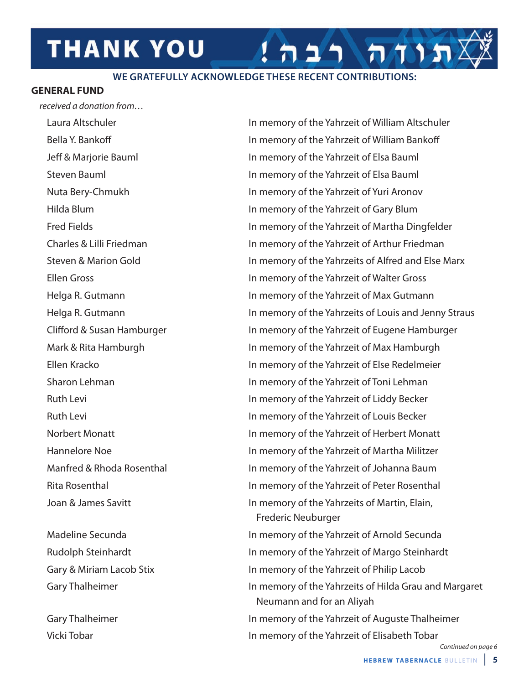# **THANK YOU**

## **WE GRATEFULLY ACKNOWLEDGE THESE RECENT CONTRIBUTIONS:**

### **GEnERal FunD**

received a donation from…

vicki tobar in memory of the Yahrzeit of Elisabeth tobar

Laura Altschuler in memory of the Yahrzeit of William Altschuler bella Y. bankoff in memory of the Yahrzeit of William bankoff Jeff & marjorie bauml in memory of the Yahrzeit of Elsa bauml Steven bauml in memory of the Yahrzeit of Elsa bauml Nuta Bery-Chmukh in memory of the Yahrzeit of Yuri Aronov hilda blum in memory of the Yahrzeit of Gary blum Fred Fields in memory of the Yahrzeit of martha Dingfelder charles & lilli Friedman in memory of the Yahrzeit of arthur Friedman Steven & Marion Gold in memory of the Yahrzeits of Alfred and Else Marx Ellen Gross in memory of the Yahrzeit of Walter Gross Helga R. Gutmann in memory of the Yahrzeit of Max Gutmann Helga R. Gutmann in memory of the Yahrzeits of Louis and Jenny Straus Clifford & Susan Hamburger in memory of the Yahrzeit of Eugene Hamburger Mark & Rita Hamburgh in memory of the Yahrzeit of Max Hamburgh Ellen Kracko in memory of the Yahrzeit of Else redelmeier Sharon Lehman in memory of the Yahrzeit of Toni Lehman Ruth Levi **in the Value of Liddy Becker** in memory of the Yahrzeit of Liddy Becker Ruth Levi **in the Value in memory of the Yahrzeit of Louis Becker** Norbert Monatt **in the Value of the Yahrzeit of Herbert Monatt** Hannelore Noe in memory of the Yahrzeit of Martha Militzer Manfred & Rhoda Rosenthal in memory of the Yahrzeit of Johanna Baum rita rosenthal in memory of the Yahrzeit of peter rosenthal Joan & James Savitt **in Martin, Elain, in memory of the Yahrzeits of Martin, Elain,** Frederic Neuburger Madeline Secunda in memory of the Yahrzeit of Arnold Secunda Rudolph Steinhardt **in the Vahrago Steinhardt** in memory of the Yahrzeit of Margo Steinhardt

תורה

Gary & Miriam Lacob Stix in memory of the Yahrzeit of Philip Lacob Gary Thalheimer in memory of the Yahrzeits of Hilda Grau and Margaret Neumann and for an Aliyah Gary Thalheimer in memory of the Yahrzeit of Auguste Thalheimer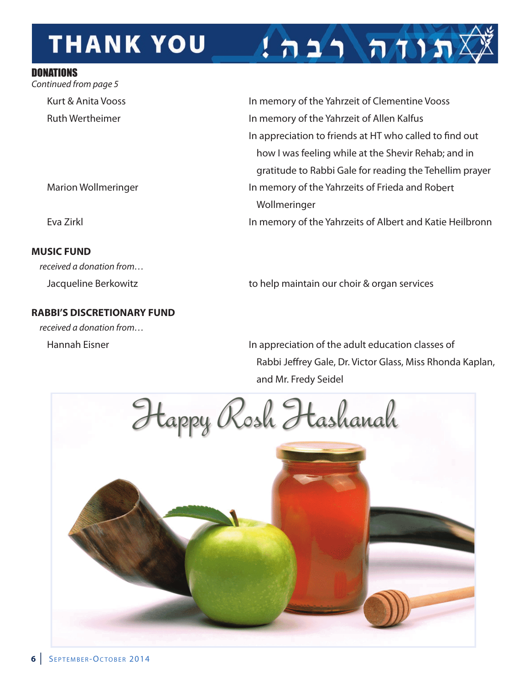# **THANK YOU**

## DONATIONS

Continued from page 5

## **MuSiC FunD**

received a donation from…

# **Rabbi'S DiSCRETionaRY FunD**

received a donation from…

Kurt & Anita Vooss **in the Value of the Yahrzeit of Clementine Vooss** in memory of the Yahrzeit of Clementine Vooss Ruth Wertheimer in memory of the Yahrzeit of Allen Kalfus In appreciation to friends at HT who called to find out how I was feeling while at the Shevir Rehab; and in gratitude to Rabbi Gale for reading the Tehellim prayer Marion Wollmeringer **in the Value of the Yahrzeits of Frieda and Robert** Wollmeringer Eva Zirkl in memory of the Yahrzeits of albert and Katie heilbronn

 $1$ תוח רבה!

Jacqueline Berkowitz **the services** to help maintain our choir & organ services

Hannah Eisner in appreciation of the adult education classes of Rabbi Jeffrey Gale, Dr. Victor Glass, Miss Rhonda Kaplan, and mr. Fredy Seidel

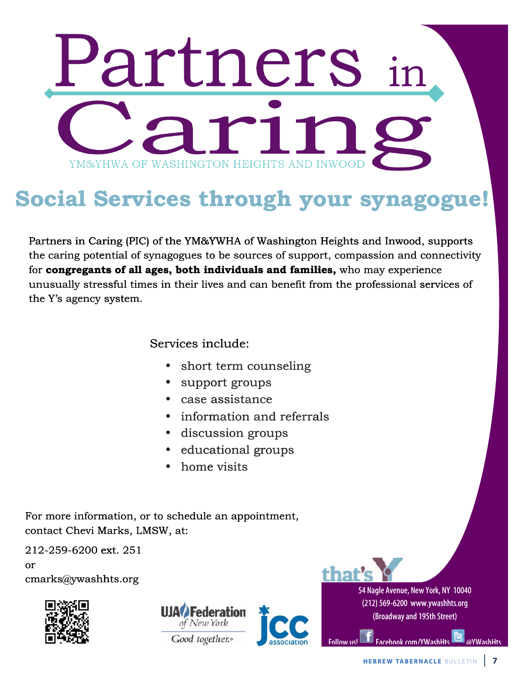# Partners YM&YHWA OF WASHINGTON HEIGHTS AND INWOOL

# **Social Services through your synagogue! Social Ser Services thr hrough you our synag gogue!**

Partners in Caring (PIC) of the YM&YWHA of Washington Heights and Inwood, supports the caring potential of synagogues to be sources of support, compassion and connectivity for congregants of all ages, both individuals and families, who may experience unusually stressful times in their lives and can benefit from the professional services of the Y's agency system. natively a manipulate contract the sources of support, compassion and conditividuals and families, who may experies ives and can benefit from the professional solucide: **oth individuals and families,** who may experience<br>neir lives and can benefit from the professional services<br>include:<br>short term counseling

# Services include:

- short term counseling
- support groups
- case assistance assi
- information and referrals
- discussion groups discus
- educational groups educat
- home visits

For more information, or to schedule an appointment, contact Chevi Marks, LMSW, at: • information and referrals<br>• discussion groups<br>• educational groups<br>• home visits<br>For more information, or to schedule an appointment, • educational group<br>• home visits<br>nation, or to schedule an appointmer<br>Marks, LMSW, at:<br>ext. 251

212-259-6200 ext. 251

or cmarks@ywashhts.org cmarks@ywashh hts.org







54 Nagle Avenue, New York, NY 10040 (212) 569-6200 www.ywashhts.org (Broadway and 195th Street) (Broadwayand19 v York, NY 1004<br>w.ywashhts.org<br>95th Street)

Follow us! The Facebook com/YWashHts **Com** @YWashHts

i<br>L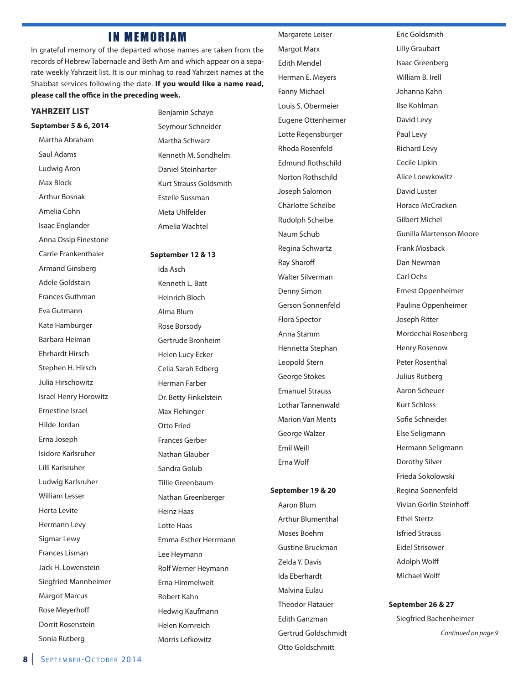# IN MEMORIAM

in grateful memory of the departed whose names are taken from the records of Hebrew Tabernacle and Beth Am and which appear on a separate weekly Yahrzeit list. it is our minhag to read Yahrzeit names at the Shabbat services following the date. **if you would like a name read, please call the office in the preceding week.**

### **YaHRzEiT liST**

**September 5 & 6, 2014** Martha Abraham

Saul adams Ludwig Aron Max Block arthur bosnak amelia cohn isaac Englander anna Ossip Finestone carrie Frankenthaler armand Ginsberg Adele Goldstain Frances Guthman Eva Gutmann Kate Hamburger Barbara Heiman Ehrhardt hirsch Stephen H. Hirsch Julia hirschowitz israel henry horowitz Ernestine israel hilde Jordan Erna Joseph isidore Karlsruher lilli Karlsruher ludwig Karlsruher William lesser herta levite hermann levy Sigmar lewy Frances lisman Jack h. lowenstein Siegfried mannheimer **Margot Marcus Rose Meyerhoff** Dorrit Rosenstein Sonia Rutberg

benjamin Schaye Seymour Schneider Martha Schwarz Kenneth m. Sondhelm Daniel Steinharter Kurt Strauss Goldsmith Estelle Sussman Meta Uhlfelder amelia Wachtel

**September 12 & 13** Ida Asch Kenneth l. batt heinrich bloch alma blum Rose Borsody Gertrude bronheim helen lucy Ecker celia Sarah Edberg herman Farber Dr. Betty Finkelstein Max Flehinger Otto Fried Frances Gerber Nathan Glauber Sandra Golub Tillie Greenbaum Nathan Greenberger **Heinz Haas** lotte haas Emma-Esther herrmann lee heymann Rolf Werner Heymann Erna Himmelweit Robert Kahn hedwig Kaufmann helen Kornreich Morris Lefkowitz

Margarete Leiser Margot Marx Edith mendel herman E. meyers Fanny Michael louis S. Obermeier Eugene Ottenheimer Lotte Regensburger Rhoda Rosenfeld Edmund Rothschild Norton Rothschild Joseph Salomon charlotte Scheibe **Rudolph Scheibe** Naum Schub Regina Schwartz **Ray Sharoff** Walter Silverman Denny Simon Gerson Sonnenfeld Flora Spector anna Stamm henrietta Stephan leopold Stern George Stokes Emanuel Strauss Lothar Tannenwald **Marion Van Ments** George Walzer Emil Weill Erna Wolf

### **September 19 & 20**

Aaron Blum Arthur Blumenthal Moses Boehm Gustine bruckman Zelda Y. Davis ida Eberhardt malvina Eulau **Theodor Flatauer** Edith Ganzman Gertrud Goldschmidt Otto Goldschmitt

Eric Goldsmith lilly Graubart isaac Greenberg William B. Irell Johanna Kahn ilse Kohlman David levy paul levy **Richard Levy** cecile lipkin alice loewkowitz David luster Horace McCracken Gilbert michel Gunilla martenson moore Frank mosback Dan Newman carl Ochs Ernest Oppenheimer pauline Oppenheimer Joseph Ritter Mordechai Rosenberg **Henry Rosenow** Peter Rosenthal Julius Rutberg aaron Scheuer Kurt Schloss Sofie Schneider Else Seligmann hermann Seligmann Dorothy Silver Frieda Sokolowski Regina Sonnenfeld vivian Gorlin Steinhoff Ethel Stertz isfried Strauss Eidel Strisower adolph Wolff michael Wolff

### **September 26 & 27**

Siegfried bachenheimer Continued on page 9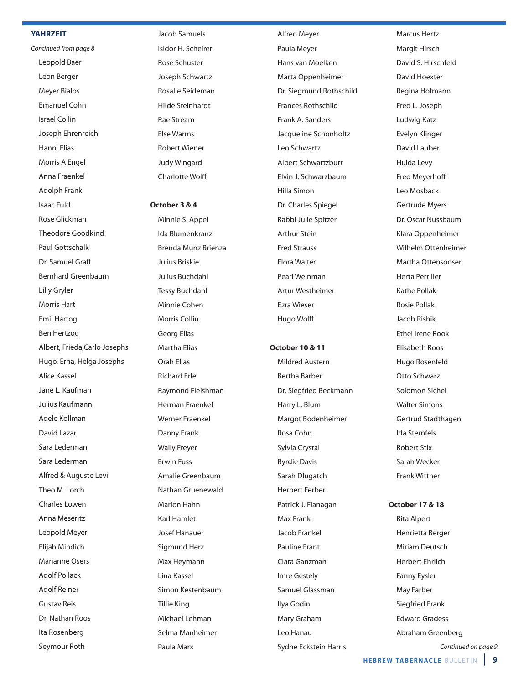### **YaHRzEiT**

Continued from page 8 leopold baer leon berger **Meyer Bialos** Emanuel cohn israel collin Joseph Ehrenreich hanni Elias Morris A Engel anna Fraenkel adolph Frank isaac Fuld Rose Glickman Theodore Goodkind paul Gottschalk Dr. Samuel Graff bernhard Greenbaum Lilly Gryler Morris Hart Emil hartog ben hertzog albert, Frieda,carlo Josephs hugo, Erna, helga Josephs alice Kassel Jane l. Kaufman Julius Kaufmann adele Kollman David lazar Sara lederman Sara lederman Alfred & Auguste Levi Theo M. Lorch charles lowen Anna Meseritz leopold meyer Elijah mindich Marianne Osers adolf pollack Adolf Reiner Gustav Reis Dr. Nathan Roos Ita Rosenberg Seymour Roth

Jacob Samuels Isidor H. Scheirer rose Schuster Joseph Schwartz Rosalie Seideman hilde Steinhardt Rae Stream Else Warms **Robert Wiener** Judy Wingard charlotte Wolff

### **october 3 & 4**

Minnie S. Appel ida blumenkranz brenda munz brienza Julius briskie Julius buchdahl **Tessy Buchdahl** Minnie Cohen Morris Collin Georg Elias Martha Elias Orah Elias **Richard Erle** Raymond Fleishman herman Fraenkel Werner Fraenkel Danny Frank Wally Freyer Erwin Fuss amalie Greenbaum Nathan Gruenewald Marion Hahn Karl Hamlet Josef hanauer Sigmund herz Max Heymann lina Kassel Simon Kestenbaum **Tillie King** michael lehman Selma Manheimer paula marx

alfred meyer Paula Meyer hans van moelken Marta Oppenheimer Dr. Siegmund Rothschild Frances Rothschild Frank A. Sanders Jacqueline Schonholtz leo Schwartz albert Schwartzburt Elvin J. Schwarzbaum hilla Simon Dr. charles Spiegel Rabbi Julie Spitzer arthur Stein Fred Strauss Flora Walter pearl Weinman artur Westheimer Ezra Wieser hugo Wolff

### **october 10 & 11**

**Mildred Austern** bertha barber Dr. Siegfried beckmann Harry L. Blum Margot Bodenheimer Rosa Cohn Sylvia crystal byrdie Davis Sarah Dlugatch herbert Ferber patrick J. Flanagan **Max Frank** Jacob Frankel pauline Frant clara Ganzman imre Gestely Samuel Glassman ilya Godin mary Graham Leo Hanau Sydne Eckstein harris

Marcus Hertz Margit Hirsch David S. Hirschfeld David hoexter Regina Hofmann Fred l. Joseph ludwig Katz Evelyn Klinger David lauber hulda levy Fred meyerhoff leo mosback Gertrude Myers Dr. Oscar Nussbaum Klara Oppenheimer Wilhelm Ottenheimer martha Ottensooser herta pertiller Kathe pollak Rosie Pollak Jacob Rishik Ethel Irene Rook Elisabeth Roos Hugo Rosenfeld Otto Schwarz Solomon Sichel Walter Simons Gertrud Stadthagen ida Sternfels **Robert Stix** Sarah Wecker Frank Wittner

### **october 17 & 18**

**Rita Alpert** henrietta berger Miriam Deutsch herbert Ehrlich Fanny Eysler May Farber Siegfried Frank Edward Gradess abraham Greenberg

Continued on page 9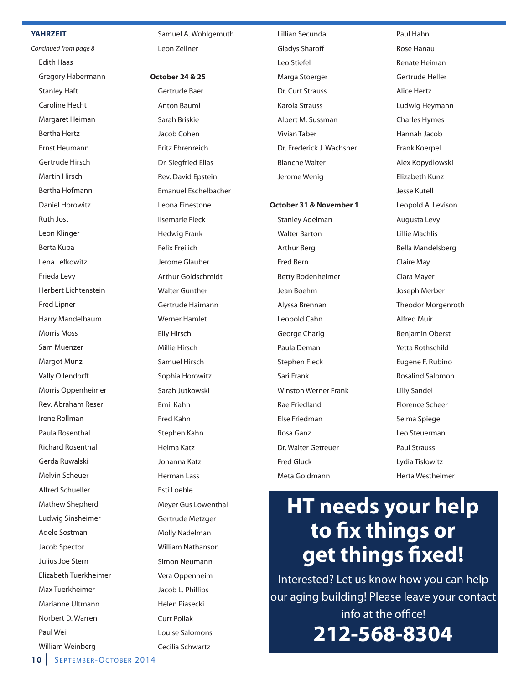### **YaHRzEiT**

Continued from page 8 **Edith Haas** Gregory Habermann **Stanley Haft** caroline hecht Margaret Heiman **Bertha Hertz** Ernst heumann Gertrude hirsch Martin Hirsch Bertha Hofmann Daniel horowitz **Ruth Jost** leon Klinger berta Kuba lena lefkowitz Frieda levy herbert lichtenstein **Fred Lipner** harry mandelbaum Morris Moss Sam Muenzer **Margot Munz** vally Ollendorff Morris Oppenheimer Rev. Abraham Reser Irene Rollman Paula Rosenthal **Richard Rosenthal** Gerda Ruwalski melvin Scheuer alfred Schueller Mathew Shepherd ludwig Sinsheimer adele Sostman Jacob Spector Julius Joe Stern Elizabeth Tuerkheimer Max Tuerkheimer Marianne Ultmann Norbert D. Warren paul Weil William Weinberg

Samuel A. Wohlgemuth leon Zellner

**october 24 & 25** Gertrude baer **Anton Bauml** Sarah Briskie Jacob cohen Fritz Ehrenreich Dr. Siegfried Elias Rev. David Epstein Emanuel Eschelbacher leona Finestone ilsemarie Fleck hedwig Frank Felix Freilich Jerome Glauber arthur Goldschmidt Walter Gunther Gertrude haimann Werner hamlet Elly hirsch millie hirsch Samuel hirsch Sophia Horowitz Sarah Jutkowski Emil Kahn Fred Kahn Stephen Kahn helma Katz Johanna Katz herman lass Esti loeble meyer Gus lowenthal Gertrude metzger Molly Nadelman William Nathanson Simon Neumann vera Oppenheim Jacob L. Phillips helen piasecki curt pollak louise Salomons

cecilia Schwartz

lillian Secunda Gladys Sharoff leo Stiefel Marga Stoerger Dr. Curt Strauss Karola Strauss albert m. Sussman **Vivian Taber** Dr. Frederick J. Wachsner blanche Walter Jerome Wenig

**october 31 & november 1**

Stanley Adelman Walter barton arthur berg Fred bern betty bodenheimer Jean boehm alyssa brennan leopold cahn George charig paula Deman Stephen Fleck Sari Frank Winston Werner Frank Rae Friedland Else Friedman Rosa Ganz Dr. Walter Getreuer Fred Gluck meta Goldmann

Paul Hahn Rose Hanau **Renate Heiman** Gertrude heller alice hertz ludwig heymann **Charles Hymes** hannah Jacob Frank Koerpel alex Kopydlowski Elizabeth Kunz Jesse Kutell Leopold A. Levison Augusta Levy lillie machlis bella mandelsberg **Claire May Clara Mayer** Joseph merber Theodor Morgenroth alfred muir benjamin Oberst Yetta Rothschild Eugene F. Rubino rosalind Salomon lilly Sandel Florence Scheer Selma Spiegel leo Steuerman paul Strauss Lydia Tislowitz herta Westheimer

# **HT needs your help to fix things or get things fixed!**

interested? let us know how you can help our aging building! please leave your contact info at the office! **212-568-8304**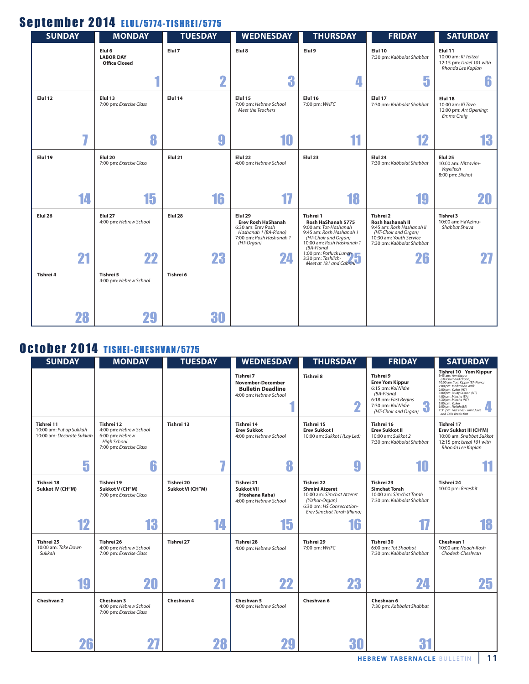# September 2014 ELUL/5774-TISHREI/5775

| <b>SUNDAY</b>      | <b>MONDAY</b>                                                 | <b>TUESDAY</b>          | <b>WEDNESDAY</b>                                                                                                              | <b>THURSDAY</b>                                                                                                                                         | <b>FRIDAY</b>                                                                                                                              | <b>SATURDAY</b>                                                                   |
|--------------------|---------------------------------------------------------------|-------------------------|-------------------------------------------------------------------------------------------------------------------------------|---------------------------------------------------------------------------------------------------------------------------------------------------------|--------------------------------------------------------------------------------------------------------------------------------------------|-----------------------------------------------------------------------------------|
|                    | Elul <sub>6</sub><br><b>LABOR DAY</b><br><b>Office Closed</b> | Elul 7                  | Elul 8                                                                                                                        | Elul 9                                                                                                                                                  | Elul 10<br>7:30 pm: Kabbalat Shabbat                                                                                                       | Elul 11<br>10:00 am: Ki Teitzei<br>12:15 pm: Israel 101 with<br>Rhonda Lee Kaplan |
|                    |                                                               | $\overline{\mathbf{2}}$ | 3                                                                                                                             | 4                                                                                                                                                       | 5                                                                                                                                          | 6                                                                                 |
| Elul 12            | Elul 13<br>7:00 pm: Exercise Class                            | Elul 14                 | Elul 15<br>7:00 pm: Hebrew School<br>Meet the Teachers                                                                        | Elul 16<br>7:00 pm: WHFC                                                                                                                                | Elul 17<br>7:30 pm: Kabbalat Shabbat                                                                                                       | Elul 18<br>10:00 am: Ki Tavo<br>12:00 pm: Art Opening:<br>Emma Craig              |
|                    | 8                                                             | 9                       | 10                                                                                                                            | 11                                                                                                                                                      | 12                                                                                                                                         | 13                                                                                |
| Elul 19            | Elul 20<br>7:00 pm: Exercise Class                            | Elul 21                 | Elul 22<br>4:00 pm: Hebrew School                                                                                             | Elul <sub>23</sub>                                                                                                                                      | Elul 24<br>7:30 pm: Kabbalat Shabbat                                                                                                       | Elul <sub>25</sub><br>10:00 am: Nitzavim-<br>Vayeilech<br>8:00 pm: Slichot        |
| 14                 | 15                                                            | 16                      | 17                                                                                                                            | 18                                                                                                                                                      | 19                                                                                                                                         | 20                                                                                |
| Elul <sub>26</sub> | Elul 27<br>4:00 pm: Hebrew School                             | Elul <sub>28</sub>      | Elul 29<br><b>Erev Rosh HaShanah</b><br>6:30 am: Erev Rosh<br>Hashanah 1 (BA-Piano)<br>7:00 pm: Rosh Hashanah 1<br>(HT-Organ) | Tishrei 1<br>Rosh HaShanah 5775<br>9:00 am: Tot-Hashanah<br>9:45 am: Rosh Hashanah 1<br>(HT-Choir and Organ)<br>10:00 am: Rosh Hashanah 1<br>(BA-Piano) | Tishrei 2<br>Rosh hashanah II<br>9:45 am: Rosh Hashanah II<br>(HT-Choir and Organ)<br>10:30 am: Youth Service<br>7:30 pm: Kabbalat Shabbat | Tishrei 3<br>10:00 am: Ha'Azinu-<br>Shabbat Shuva                                 |
| 21                 | 22                                                            | 23                      | 24                                                                                                                            | 1:00 pm: Potluck Lunch<br>3:30 pm: Tashlich-<br>Meet at 181 and Cabrini                                                                                 | 26                                                                                                                                         |                                                                                   |
| Tishrei 4          | Tishrei 5<br>4:00 pm: Hebrew School                           | Tishrei 6               |                                                                                                                               |                                                                                                                                                         |                                                                                                                                            |                                                                                   |
| 28                 | 29                                                            | 30                      |                                                                                                                               |                                                                                                                                                         |                                                                                                                                            |                                                                                   |

# October 2014 TISHEI-CHESHVAN/5775

| <b>SUNDAY</b>                                                      | <b>MONDAY</b>                                                                                     | <b>TUESDAY</b>                 | <b>WEDNESDAY</b>                                                                     | <b>THURSDAY</b>                                                                                                                               | <b>FRIDAY</b>                                                                                                                                      | <b>SATURDAY</b>                                                                                                                                                                                                                                                                                                                                                                                                                          |
|--------------------------------------------------------------------|---------------------------------------------------------------------------------------------------|--------------------------------|--------------------------------------------------------------------------------------|-----------------------------------------------------------------------------------------------------------------------------------------------|----------------------------------------------------------------------------------------------------------------------------------------------------|------------------------------------------------------------------------------------------------------------------------------------------------------------------------------------------------------------------------------------------------------------------------------------------------------------------------------------------------------------------------------------------------------------------------------------------|
|                                                                    |                                                                                                   |                                | Tishrei 7<br>November-December<br><b>Bulletin Deadline</b><br>4:00 pm: Hebrew School | Tishrei 8<br>n<br>z                                                                                                                           | Tishrei 9<br><b>Erev Yom Kippur</b><br>6:15 pm: Kol Nidre<br>(BA-Piano)<br>6:18 pm: Fast Begins<br>7:30 pm: Kol Nidre<br>Π<br>(HT-Choir and Organ) | Tishrei 10 Yom Kippur<br>9:45 am: Yom Kippur<br>9:43 am: rom Kippur<br>(HT-Choir and Organ)<br>10:00 am: Yom Kippur (BA-Piano)<br>2:00 pm: Meditation Walk<br>2:00 pm: <i>Vizelitation wilk</i><br>2:00 pm: <i>Yizkor (HT)</i><br>3:00 pm: <i>Study Session (HT)</i><br>4:00 pm: <i>Mincha (BA)</i><br>4:30 pm: <i>Mincha (HT)</i><br>5:00 pm: Yizkor<br>6:00 pm: Neilah (BA)<br>7:31 pm: Fast ends - Joint Juice<br>and Cake Break-fast |
| Tishrei 11<br>10:00 am: Put up Sukkah<br>10:00 am: Decorate Sukkah | Tishrei 12<br>4:00 pm: Hebrew School<br>6:00 pm: Hebrew<br>High School<br>7:00 pm: Exercise Class | Tishrei 13                     | Tishrei 14<br><b>Erev Sukkot</b><br>4:00 pm: Hebrew School                           | Tishrei 15<br><b>Erev Sukkot I</b><br>10:00 am: Sukkot I (Lay Led)                                                                            | Tishrei 16<br><b>Erev Sukkot II</b><br>10:00 am: Sukkot 2<br>7:30 pm: Kabbalat Shabbat                                                             | Tishrei 17<br>Erev Sukkot III (CH'M)<br>10:00 am: Shabbat Sukkot<br>12:15 pm: Isreal 101 with<br>Rhonda Lee Kaplan                                                                                                                                                                                                                                                                                                                       |
| 5                                                                  | 6                                                                                                 |                                | 8                                                                                    | g                                                                                                                                             | 10                                                                                                                                                 |                                                                                                                                                                                                                                                                                                                                                                                                                                          |
| Tishrei 18<br>Sukkot IV (CH"M)                                     | Tishrei 19<br>Sukkot V (CH"M)<br>7:00 pm: Exercise Class                                          | Tishrei 20<br>Sukkot VI (CH"M) | Tishrei 21<br>Sukkot VII<br>(Hoshana Raba)<br>4:00 pm: Hebrew School                 | Tishrei 22<br><b>Shmini Atzeret</b><br>10:00 am: Simchat Atzeret<br>(Yizhor-Organ)<br>6:30 pm: HS Consecration-<br>Erev Simchat Torah (Piano) | Tishrei 23<br><b>Simchat Torah</b><br>10:00 am: Simchat Torah<br>7:30 pm: Kabbalat Shabbat                                                         | Tishrei 24<br>10:00 pm: Bereshit                                                                                                                                                                                                                                                                                                                                                                                                         |
| 12                                                                 | 13                                                                                                | 14                             | 15                                                                                   | 16                                                                                                                                            |                                                                                                                                                    | 18                                                                                                                                                                                                                                                                                                                                                                                                                                       |
| Tishrei 25<br>10:00 am: Take Down<br>Sukkah                        | Tishrei 26<br>4:00 pm: Hebrew School<br>7:00 pm: Exercise Class                                   | Tishrei 27                     | Tishrei 28<br>4:00 pm: Hebrew School                                                 | Tishrei 29<br>7:00 pm: WHFC                                                                                                                   | Tishrei 30<br>6:00 pm: Tot Shabbat<br>7:30 pm: Kabbalat Shabbat                                                                                    | Cheshvan 1<br>10:00 am: Noach-Rosh<br>Chodesh Cheshvan                                                                                                                                                                                                                                                                                                                                                                                   |
| 19                                                                 | 20                                                                                                | 21                             | 22                                                                                   | 23                                                                                                                                            | 24                                                                                                                                                 | 25                                                                                                                                                                                                                                                                                                                                                                                                                                       |
| Cheshvan 2                                                         | Cheshvan 3<br>4:00 pm: Hebrew School<br>7:00 pm: Exercise Class                                   | Cheshvan 4                     | Cheshvan 5<br>4:00 pm: Hebrew School                                                 | Cheshvan 6                                                                                                                                    | Cheshvan 6<br>7:30 pm: Kabbalat Shabbat                                                                                                            |                                                                                                                                                                                                                                                                                                                                                                                                                                          |
| 26                                                                 |                                                                                                   |                                |                                                                                      | 30                                                                                                                                            | 31                                                                                                                                                 |                                                                                                                                                                                                                                                                                                                                                                                                                                          |